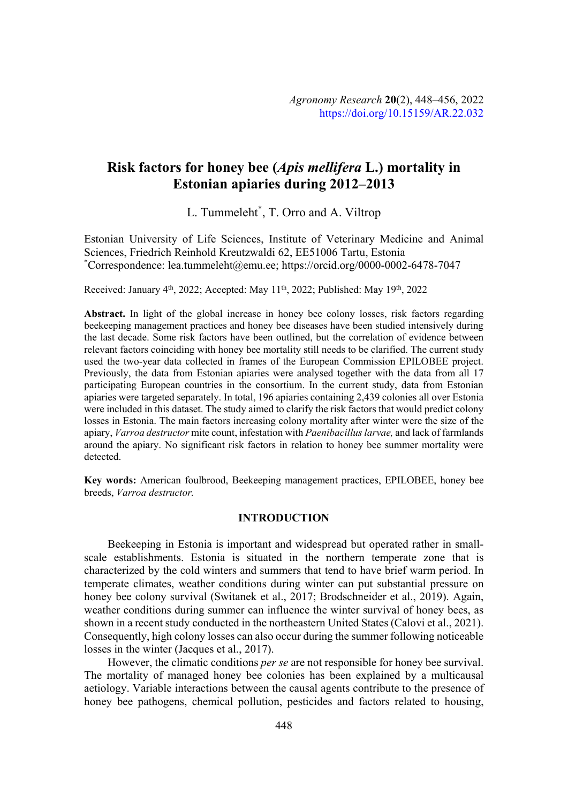# **Risk factors for honey bee (***Apis mellifera* **L.) mortality in Estonian apiaries during 2012–2013**

L. Tummeleht\* , T. Orro and A. Viltrop

Estonian University of Life Sciences, Institute of Veterinary Medicine and Animal Sciences, Friedrich Reinhold Kreutzwaldi 62, EE51006 Tartu, Estonia \* Correspondence: lea.tummeleht@emu.ee; https://orcid.org/0000-0002-6478-7047

Received: January 4<sup>th</sup>, 2022; Accepted: May 11<sup>th</sup>, 2022; Published: May 19<sup>th</sup>, 2022

**Abstract.** In light of the global increase in honey bee colony losses, risk factors regarding beekeeping management practices and honey bee diseases have been studied intensively during the last decade. Some risk factors have been outlined, but the correlation of evidence between relevant factors coinciding with honey bee mortality still needs to be clarified. The current study used the two-year data collected in frames of the European Commission EPILOBEE project. Previously, the data from Estonian apiaries were analysed together with the data from all 17 participating European countries in the consortium. In the current study, data from Estonian apiaries were targeted separately. In total, 196 apiaries containing 2,439 colonies all over Estonia were included in this dataset. The study aimed to clarify the risk factors that would predict colony losses in Estonia. The main factors increasing colony mortality after winter were the size of the apiary, *Varroa destructor* mite count, infestation with *Paenibacillus larvae*, and lack of farmlands around the apiary. No significant risk factors in relation to honey bee summer mortality were detected.

**Key words:** American foulbrood, Beekeeping management practices, EPILOBEE, honey bee breeds, *Varroa destructor*.

# **INTRODUCTION**

Beekeeping in Estonia is important and widespread but operated rather in smallscale establishments. Estonia is situated in the northern temperate zone that is characterized by the cold winters and summers that tend to have brief warm period. In temperate climates, weather conditions during winter can put substantial pressure on honey bee colony survival (Switanek et al., 2017; Brodschneider et al., 2019). Again, weather conditions during summer can influence the winter survival of honey bees, as shown in a recent study conducted in the northeastern United States (Calovi et al., 2021). Consequently, high colony losses can also occur during the summer following noticeable losses in the winter (Jacques et al., 2017).

However, the climatic conditions *per se* are not responsible for honey bee survival. The mortality of managed honey bee colonies has been explained by a multicausal aetiology. Variable interactions between the causal agents contribute to the presence of honey bee pathogens, chemical pollution, pesticides and factors related to housing,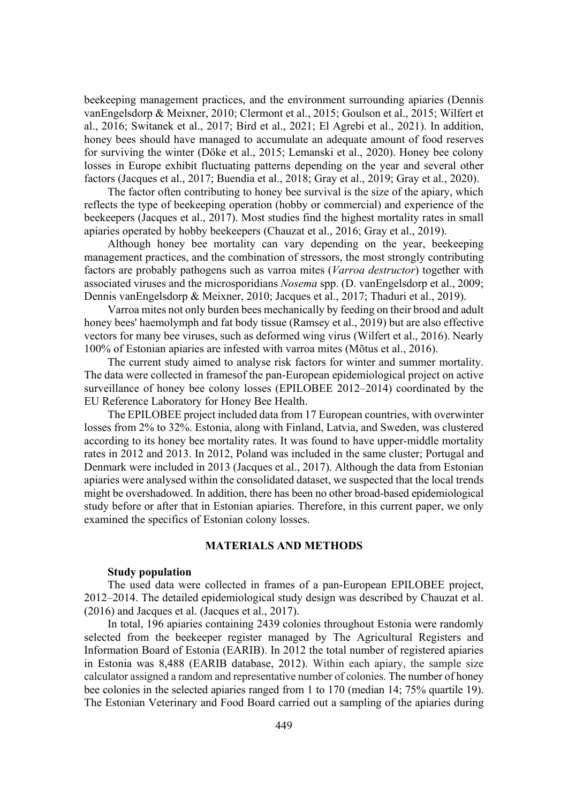beekeeping management practices, and the environment surrounding apiaries (Dennis vanEngelsdorp & Meixner, 2010; Clermont et al., 2015; Goulson et al., 2015; Wilfert et al., 2016; Switanek et al., 2017; Bird et al., 2021; El Agrebi et al., 2021). In addition, honey bees should have managed to accumulate an adequate amount of food reserves for surviving the winter (Döke et al., 2015; Lemanski et al., 2020). Honey bee colony losses in Europe exhibit fluctuating patterns depending on the year and several other factors (Jacques et al., 2017; Buendia et al., 2018; Gray et al., 2019; Gray et al., 2020).

The factor often contributing to honey bee survival is the size of the apiary, which reflects the type of beekeeping operation (hobby or commercial) and experience of the beekeepers (Jacques et al., 2017). Most studies find the highest mortality rates in small apiaries operated by hobby beekeepers (Chauzat et al., 2016; Gray et al., 2019).

Although honey bee mortality can vary depending on the year, beekeeping management practices, and the combination of stressors, the most strongly contributing factors are probably pathogens such as varroa mites (*Varroa destructor*) together with associated viruses and the microsporidians *Nosema* spp. (D. vanEngelsdorp et al., 2009; Dennis vanEngelsdorp & Meixner, 2010; Jacques et al., 2017; Thaduri et al., 2019).

Varroa mites not only burden bees mechanically by feeding on their brood and adult honey bees' haemolymph and fat body tissue (Ramsey et al., 2019) but are also effective vectors for many bee viruses, such as deformed wing virus (Wilfert et al., 2016). Nearly 100% of Estonian apiaries are infested with varroa mites (Mõtus et al., 2016).

The current study aimed to analyse risk factors for winter and summer mortality. The data were collected in framesof the pan-European epidemiological project on active surveillance of honey bee colony losses (EPILOBEE 2012–2014) coordinated by the EU Reference Laboratory for Honey Bee Health.

The EPILOBEE project included data from 17 European countries, with overwinter losses from 2% to 32%. Estonia, along with Finland, Latvia, and Sweden, was clustered according to its honey bee mortality rates. It was found to have upper-middle mortality rates in 2012 and 2013. In 2012, Poland was included in the same cluster; Portugal and Denmark were included in 2013 (Jacques et al., 2017). Although the data from Estonian apiaries were analysed within the consolidated dataset, we suspected that the local trends might be overshadowed. In addition, there has been no other broad-based epidemiological study before or after that in Estonian apiaries. Therefore, in this current paper, we only examined the specifics of Estonian colony losses.

### **MATERIALS AND METHODS**

# **Study population**

The used data were collected in frames of a pan-European EPILOBEE project, 2012–2014. The detailed epidemiological study design was described by Chauzat et al. (2016) and Jacques et al. (Jacques et al., 2017).

In total, 196 apiaries containing 2439 colonies throughout Estonia were randomly selected from the beekeeper register managed by The Agricultural Registers and Information Board of Estonia (EARIB). In 2012 the total number of registered apiaries in Estonia was 8,488 (EARIB database, 2012). Within each apiary, the sample size calculator assigned a random and representative number of colonies. The number of honey bee colonies in the selected apiaries ranged from 1 to 170 (median 14; 75% quartile 19). The Estonian Veterinary and Food Board carried out a sampling of the apiaries during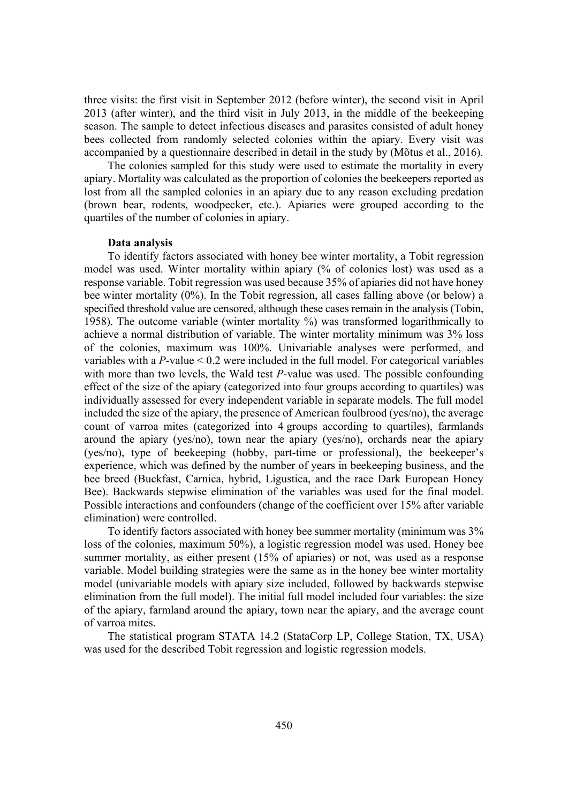three visits: the first visit in September 2012 (before winter), the second visit in April 2013 (after winter), and the third visit in July 2013, in the middle of the beekeeping season. The sample to detect infectious diseases and parasites consisted of adult honey bees collected from randomly selected colonies within the apiary. Every visit was accompanied by a questionnaire described in detail in the study by (Mõtus et al., 2016).

The colonies sampled for this study were used to estimate the mortality in every apiary. Mortality was calculated as the proportion of colonies the beekeepers reported as lost from all the sampled colonies in an apiary due to any reason excluding predation (brown bear, rodents, woodpecker, etc.). Apiaries were grouped according to the quartiles of the number of colonies in apiary.

#### **Data analysis**

To identify factors associated with honey bee winter mortality, a Tobit regression model was used. Winter mortality within apiary (% of colonies lost) was used as a response variable. Tobit regression was used because 35% of apiaries did not have honey bee winter mortality (0%). In the Tobit regression, all cases falling above (or below) a specified threshold value are censored, although these cases remain in the analysis (Tobin, 1958). The outcome variable (winter mortality %) was transformed logarithmically to achieve a normal distribution of variable. The winter mortality minimum was 3% loss of the colonies, maximum was 100%. Univariable analyses were performed, and variables with a *P*-value < 0.2 were included in the full model. For categorical variables with more than two levels, the Wald test *P*-value was used. The possible confounding effect of the size of the apiary (categorized into four groups according to quartiles) was individually assessed for every independent variable in separate models. The full model included the size of the apiary, the presence of American foulbrood (yes/no), the average count of varroa mites (categorized into 4 groups according to quartiles), farmlands around the apiary (yes/no), town near the apiary (yes/no), orchards near the apiary (yes/no), type of beekeeping (hobby, part-time or professional), the beekeeper's experience, which was defined by the number of years in beekeeping business, and the bee breed (Buckfast, Carnica, hybrid, Ligustica, and the race Dark European Honey Bee). Backwards stepwise elimination of the variables was used for the final model. Possible interactions and confounders (change of the coefficient over 15% after variable elimination) were controlled.

To identify factors associated with honey bee summer mortality (minimum was 3% loss of the colonies, maximum 50%), a logistic regression model was used. Honey bee summer mortality, as either present (15% of apiaries) or not, was used as a response variable. Model building strategies were the same as in the honey bee winter mortality model (univariable models with apiary size included, followed by backwards stepwise elimination from the full model). The initial full model included four variables: the size of the apiary, farmland around the apiary, town near the apiary, and the average count of varroa mites.

The statistical program STATA 14.2 (StataCorp LP, College Station, TX, USA) was used for the described Tobit regression and logistic regression models.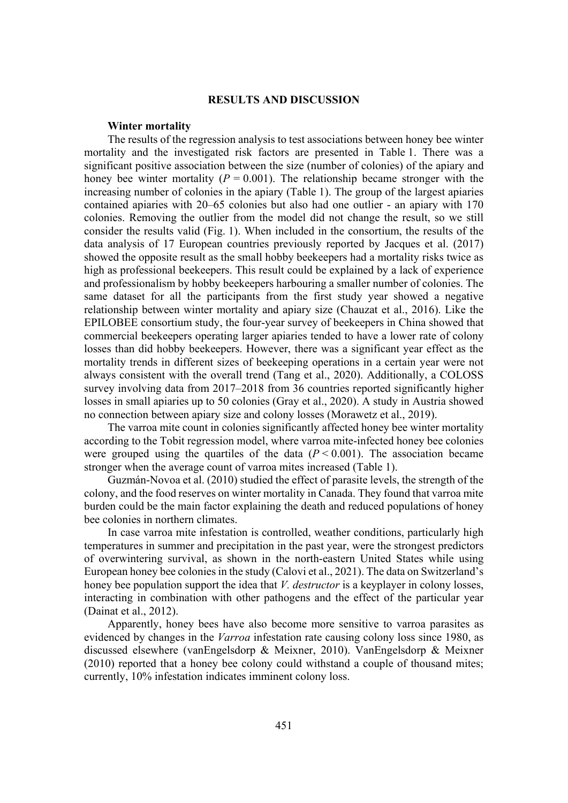# **RESULTS AND DISCUSSION**

#### **Winter mortality**

The results of the regression analysis to test associations between honey bee winter mortality and the investigated risk factors are presented in Table 1. There was a significant positive association between the size (number of colonies) of the apiary and honey bee winter mortality ( $P = 0.001$ ). The relationship became stronger with the increasing number of colonies in the apiary (Table 1). The group of the largest apiaries contained apiaries with 20–65 colonies but also had one outlier - an apiary with 170 colonies. Removing the outlier from the model did not change the result, so we still consider the results valid (Fig. 1). When included in the consortium, the results of the data analysis of 17 European countries previously reported by Jacques et al. (2017) showed the opposite result as the small hobby beekeepers had a mortality risks twice as high as professional beekeepers. This result could be explained by a lack of experience and professionalism by hobby beekeepers harbouring a smaller number of colonies. The same dataset for all the participants from the first study year showed a negative relationship between winter mortality and apiary size (Chauzat et al., 2016). Like the EPILOBEE consortium study, the four-year survey of beekeepers in China showed that commercial beekeepers operating larger apiaries tended to have a lower rate of colony losses than did hobby beekeepers. However, there was a significant year effect as the mortality trends in different sizes of beekeeping operations in a certain year were not always consistent with the overall trend (Tang et al., 2020). Additionally, a COLOSS survey involving data from 2017–2018 from 36 countries reported significantly higher losses in small apiaries up to 50 colonies (Gray et al., 2020). A study in Austria showed no connection between apiary size and colony losses (Morawetz et al., 2019).

The varroa mite count in colonies significantly affected honey bee winter mortality according to the Tobit regression model, where varroa mite-infected honey bee colonies were grouped using the quartiles of the data  $(P < 0.001)$ . The association became stronger when the average count of varroa mites increased (Table 1).

Guzmán-Novoa et al. (2010) studied the effect of parasite levels, the strength of the colony, and the food reserves on winter mortality in Canada. They found that varroa mite burden could be the main factor explaining the death and reduced populations of honey bee colonies in northern climates.

In case varroa mite infestation is controlled, weather conditions, particularly high temperatures in summer and precipitation in the past year, were the strongest predictors of overwintering survival, as shown in the north-eastern United States while using European honey bee colonies in the study (Calovi et al., 2021). The data on Switzerland's honey bee population support the idea that *V. destructor* is a keyplayer in colony losses, interacting in combination with other pathogens and the effect of the particular year (Dainat et al., 2012).

Apparently, honey bees have also become more sensitive to varroa parasites as evidenced by changes in the *Varroa* infestation rate causing colony loss since 1980, as discussed elsewhere (vanEngelsdorp & Meixner, 2010). VanEngelsdorp & Meixner (2010) reported that a honey bee colony could withstand a couple of thousand mites; currently, 10% infestation indicates imminent colony loss.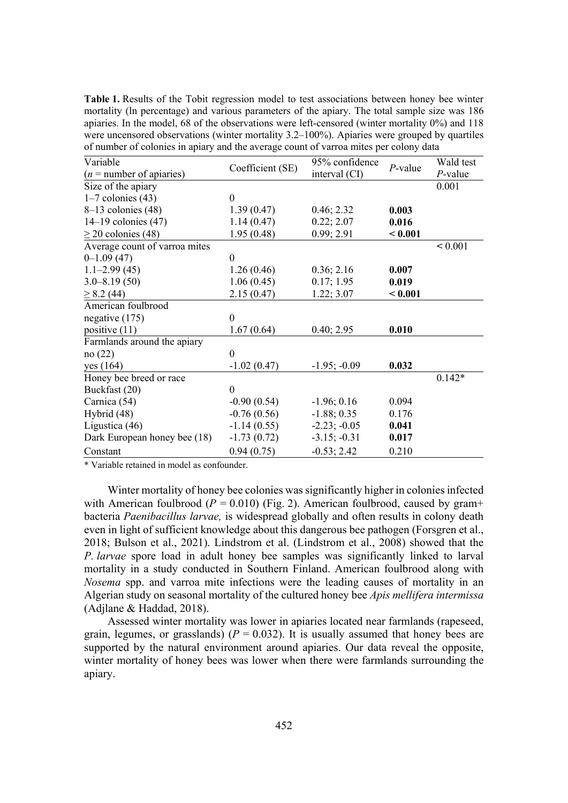**Table 1.** Results of the Tobit regression model to test associations between honey bee winter mortality (ln percentage) and various parameters of the apiary. The total sample size was 186 apiaries. In the model, 68 of the observations were left-censored (winter mortality  $0\%$ ) and 118 were uncensored observations (winter mortality 3.2–100%). Apiaries were grouped by quartiles of number of colonies in apiary and the average count of varroa mites per colony data

| Variable                      | Coefficient (SE) | 95% confidence | $P$ -value | Wald test  |
|-------------------------------|------------------|----------------|------------|------------|
| $(n =$ number of apiaries)    |                  | interval (CI)  |            | $P$ -value |
| Size of the apiary            |                  |                |            | 0.001      |
| $1-7$ colonies $(43)$         | $\theta$         |                |            |            |
| $8-13$ colonies (48)          | 1.39(0.47)       | 0.46; 2.32     | 0.003      |            |
| $14-19$ colonies $(47)$       | 1.14(0.47)       | 0.22; 2.07     | 0.016      |            |
| $\geq$ 20 colonies (48)       | 1.95(0.48)       | 0.99; 2.91     | < 0.001    |            |
| Average count of varroa mites |                  |                |            | < 0.001    |
| $0-1.09(47)$                  | $\boldsymbol{0}$ |                |            |            |
| $1.1 - 2.99(45)$              | 1.26(0.46)       | 0.36; 2.16     | 0.007      |            |
| $3.0 - 8.19(50)$              | 1.06(0.45)       | 0.17; 1.95     | 0.019      |            |
| $\geq$ 8.2 (44)               | 2.15(0.47)       | 1.22; 3.07     | < 0.001    |            |
| American foulbrood            |                  |                |            |            |
| negative $(175)$              | $\boldsymbol{0}$ |                |            |            |
| positive $(11)$               | 1.67(0.64)       | 0.40; 2.95     | 0.010      |            |
| Farmlands around the apiary   |                  |                |            |            |
| no(22)                        | $\boldsymbol{0}$ |                |            |            |
| yes $(164)$                   | $-1.02(0.47)$    | $-1.95; -0.09$ | 0.032      |            |
| Honey bee breed or race       |                  |                |            | $0.142*$   |
| Buckfast (20)                 | $\boldsymbol{0}$ |                |            |            |
| Carnica (54)                  | $-0.90(0.54)$    | $-1.96; 0.16$  | 0.094      |            |
| Hybrid (48)                   | $-0.76(0.56)$    | $-1.88; 0.35$  | 0.176      |            |
| Ligustica (46)                | $-1.14(0.55)$    | $-2.23; -0.05$ | 0.041      |            |
| Dark European honey bee (18)  | $-1.73(0.72)$    | $-3.15; -0.31$ | 0.017      |            |
| Constant                      | 0.94(0.75)       | $-0.53; 2.42$  | 0.210      |            |

\* Variable retained in model as confounder.

Winter mortality of honey bee colonies was significantly higher in colonies infected with American foulbrood ( $P = 0.010$ ) (Fig. 2). American foulbrood, caused by gram+ bacteria *Paenibacillus larvae*, is widespread globally and often results in colony death even in light of sufficient knowledge about this dangerous bee pathogen (Forsgren et al., 2018; Bulson et al., 2021). Lindstrom et al. (Lindstrom et al., 2008) showed that the *P. Iarvae* spore load in adult honey bee samples was significantly linked to larval mortality in a study conducted in Southern Finland. American foulbrood along with *Nosema* spp. and varroa mite infections were the leading causes of mortality in an Algerian study on seasonal mortality of the cultured honey bee *Apis mellifera intermissa* (Adjlane & Haddad, 2018).

Assessed winter mortality was lower in apiaries located near farmlands (rapeseed, grain, legumes, or grasslands) ( $P = 0.032$ ). It is usually assumed that honey bees are supported by the natural environment around apiaries. Our data reveal the opposite, winter mortality of honey bees was lower when there were farmlands surrounding the apiary.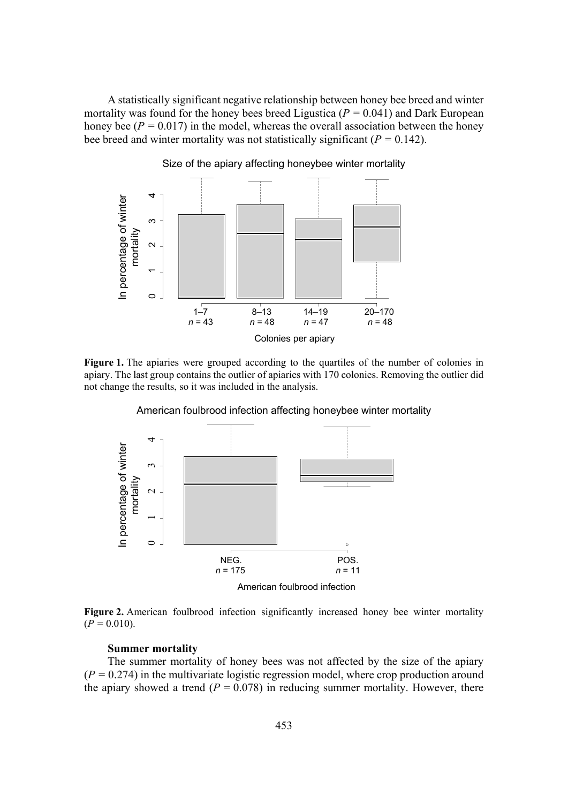A statistically significant negative relationship between honey bee breed and winter mortality was found for the honey bees breed Ligustica ( $P = 0.041$ ) and Dark European honey bee ( $P = 0.017$ ) in the model, whereas the overall association between the honey bee breed and winter mortality was not statistically significant ( $P = 0.142$ ).



Size of the apiary affecting honeybee winter mortality

**Figure 1.** The apiaries were grouped according to the quartiles of the number of colonies in apiary. The last group contains the outlier of apiaries with 170 colonies. Removing the outlier did not change the results, so it was included in the analysis.



American foulbrood infection affecting honeybee winter mortality



#### **Summer mortality**

The summer mortality of honey bees was not affected by the size of the apiary  $(P = 0.274)$  in the multivariate logistic regression model, where crop production around the apiary showed a trend  $(P = 0.078)$  in reducing summer mortality. However, there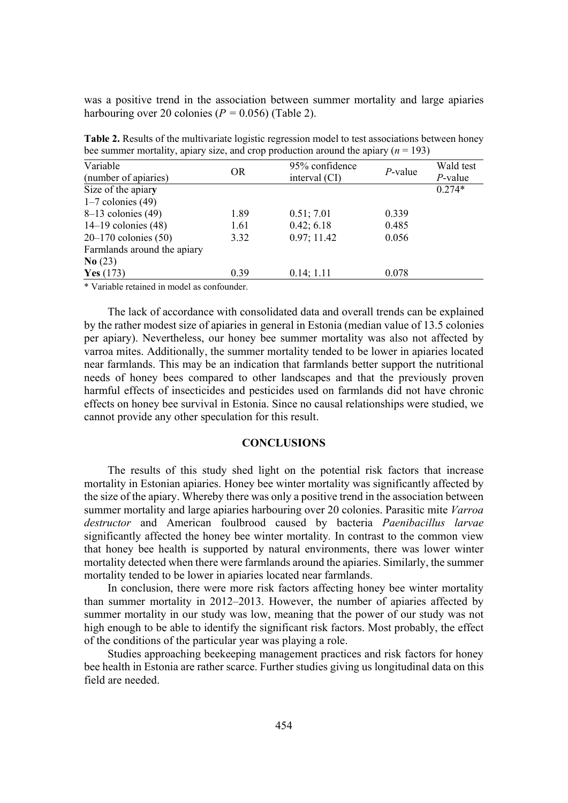was a positive trend in the association between summer mortality and large apiaries harbouring over 20 colonies ( $P = 0.056$ ) (Table 2).

| Variable<br>(number of apiaries) | <b>OR</b> | 95% confidence<br>interval (CI) | $P$ -value | Wald test<br>$P$ -value |
|----------------------------------|-----------|---------------------------------|------------|-------------------------|
|                                  |           |                                 |            |                         |
| Size of the apiary               |           |                                 |            | $0.274*$                |
| $1-7$ colonies (49)              |           |                                 |            |                         |
| $8-13$ colonies (49)             | 1.89      | 0.51; 7.01                      | 0.339      |                         |
| $14-19$ colonies $(48)$          | 1.61      | 0.42; 6.18                      | 0.485      |                         |
| $20 - 170$ colonies (50)         | 3.32      | 0.97; 11.42                     | 0.056      |                         |
| Farmlands around the apiary      |           |                                 |            |                         |
| N <b>o</b> (23)                  |           |                                 |            |                         |
| Yes $(173)$                      | 0.39      | 0.14; 1.11                      | 0.078      |                         |
|                                  |           |                                 |            |                         |

**Table 2.** Results of the multivariate logistic regression model to test associations between honey bee summer mortality, apiary size, and crop production around the apiary  $(n = 193)$ 

\* Variable retained in model as confounder.

The lack of accordance with consolidated data and overall trends can be explained by the rather modest size of apiaries in general in Estonia (median value of 13.5 colonies per apiary). Nevertheless, our honey bee summer mortality was also not affected by varroa mites. Additionally, the summer mortality tended to be lower in apiaries located near farmlands. This may be an indication that farmlands better support the nutritional needs of honey bees compared to other landscapes and that the previously proven harmful effects of insecticides and pesticides used on farmlands did not have chronic effects on honey bee survival in Estonia. Since no causal relationships were studied, we cannot provide any other speculation for this result.

## **CONCLUSIONS**

The results of this study shed light on the potential risk factors that increase mortality in Estonian apiaries. Honey bee winter mortality was significantly affected by the size of the apiary. Whereby there was only a positive trend in the association between summer mortality and large apiaries harbouring over 20 colonies. Parasitic mite *Varroa destructor* and American foulbrood caused by bacteria *Paenibacillus larvae* significantly affected the honey bee winter mortality*.* In contrast to the common view that honey bee health is supported by natural environments, there was lower winter mortality detected when there were farmlands around the apiaries. Similarly, the summer mortality tended to be lower in apiaries located near farmlands.

In conclusion, there were more risk factors affecting honey bee winter mortality than summer mortality in 2012–2013. However, the number of apiaries affected by summer mortality in our study was low, meaning that the power of our study was not high enough to be able to identify the significant risk factors. Most probably, the effect of the conditions of the particular year was playing a role.

Studies approaching beekeeping management practices and risk factors for honey bee health in Estonia are rather scarce. Further studies giving us longitudinal data on this field are needed.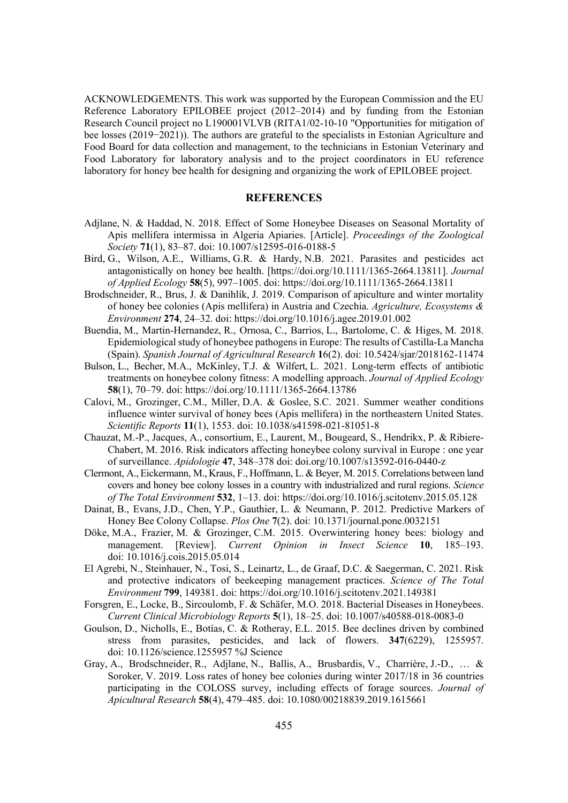ACKNOWLEDGEMENTS. This work was supported by the European Commission and the EU Reference Laboratory EPILOBEE project (2012–2014) and by funding from the Estonian Research Council project no L190001VLVB (RITA1/02-10-10 "Opportunities for mitigation of bee losses (2019–2021)). The authors are grateful to the specialists in Estonian Agriculture and Food Board for data collection and management, to the technicians in Estonian Veterinary and Food Laboratory for laboratory analysis and to the project coordinators in EU reference laboratory for honey bee health for designing and organizing the work of EPILOBEE project.

#### **REFERENCES**

- Adjlane, N. & Haddad, N. 2018. Effect of Some Honeybee Diseases on Seasonal Mortality of Apis mellifera intermissa in Algeria Apiaries. [Article]. *Proceedings of the Zoological 6RFLHW\***71**(1), 83–87. doi: 10.1007/s12595-016-0188-5
- Bird, G., Wilson, A.E., Williams, G.R. & Hardy, N.B. 2021. Parasites and pesticides act antagonistically on honey bee health. [https://doi.org/10.1111/1365-2664.13811]. *Journal RI\$SSOLHG(FRORJ\***58**(5), 997–1005. doi: https://doi.org/10.1111/1365-2664.13811
- Brodschneider, R., Brus, J. & Danihlík, J. 2019. Comparison of apiculture and winter mortality of honey bee colonies (Apis mellifera) in Austria and Czechia. *Agriculture, Ecosystems*  $\&$ *Environment* 274, 24–32. doi: https://doi.org/10.1016/j.agee.2019.01.002
- Buendia, M., Martin-Hernandez, R., Ornosa, C., Barrios, L., Bartolome, C. & Higes, M. 2018. Epidemiological study of honeybee pathogens in Europe: The results of Castilla-La Mancha (Spain). *Spanish Journal of Agricultural Research* 16(2). doi: 10.5424/sjar/2018162-11474
- Bulson, L., Becher, M.A., McKinley, T.J. & Wilfert, L. 2021. Long-term effects of antibiotic treatments on honeybee colony fitness: A modelling approach. *Journal of Applied Ecology* **58**(1), 70–79. doi: https://doi.org/10.1111/1365-2664.13786
- Calovi, M., Grozinger, C.M., Miller, D.A. & Goslee, S.C. 2021. Summer weather conditions influence winter survival of honey bees (Apis mellifera) in the northeastern United States. *Scientific Reports* 11(1), 1553. doi: 10.1038/s41598-021-81051-8
- Chauzat, M.-P., Jacques, A., consortium, E., Laurent, M., Bougeard, S., Hendrikx, P. & Ribiere-Chabert, M. 2016. Risk indicators affecting honeybee colony survival in Europe : one year of surveillance. *Apidologie* 47, 348–378 doi: doi.org/10.1007/s13592-016-0440-z
- Clermont, A., Eickermann, M., Kraus, F., Hoffmann, L. & Beyer, M. 2015. Correlations between land covers and honey bee colony losses in a country with industrialized and rural regions. *Science of The Total Environment* 532, 1–13. doi: https://doi.org/10.1016/j.scitotenv.2015.05.128
- Dainat, B., Evans, J.D., Chen, Y.P., Gauthier, L. & Neumann, P. 2012. Predictive Markers of Honey Bee Colony Collapse. *Plos One* 7(2). doi: 10.1371/journal.pone.0032151
- Döke, M.A., Frazier, M. & Grozinger, C.M. 2015. Overwintering honey bees: biology and management. [Review]. *Current Opinion in Insect Science* 10, 185–193. doi: 10.1016/j.cois.2015.05.014
- El Agrebi, N., Steinhauer, N., Tosi, S., Leinartz, L., de Graaf, D.C. & Saegerman, C. 2021. Risk and protective indicators of beekeeping management practices. *Science of The Total Environment* 799, 149381. doi: https://doi.org/10.1016/j.scitotenv.2021.149381
- Forsgren, E., Locke, B., Sircoulomb, F. & Schäfer, M.O. 2018. Bacterial Diseases in Honeybees. *Current Clinical Microbiology Reports* 5(1), 18–25. doi: 10.1007/s40588-018-0083-0
- Goulson, D., Nicholls, E., Botías, C. & Rotheray, E.L. 2015. Bee declines driven by combined stress from parasites, pesticides, and lack of flowers. **347**(6229), 1255957. doi: 10.1126/science.1255957 %J Science
- Gray, A., Brodschneider, R., Adjlane, N., Ballis, A., Brusbardis, V., Charrière, J.-D., … & Soroker, V. 2019. Loss rates of honey bee colonies during winter 2017/18 in 36 countries participating in the COLOSS survey, including effects of forage sources. *Journal of \$SLFXOWXUDO5HVHDUFK***58**(4), 479–485. doi: 10.1080/00218839.2019.1615661